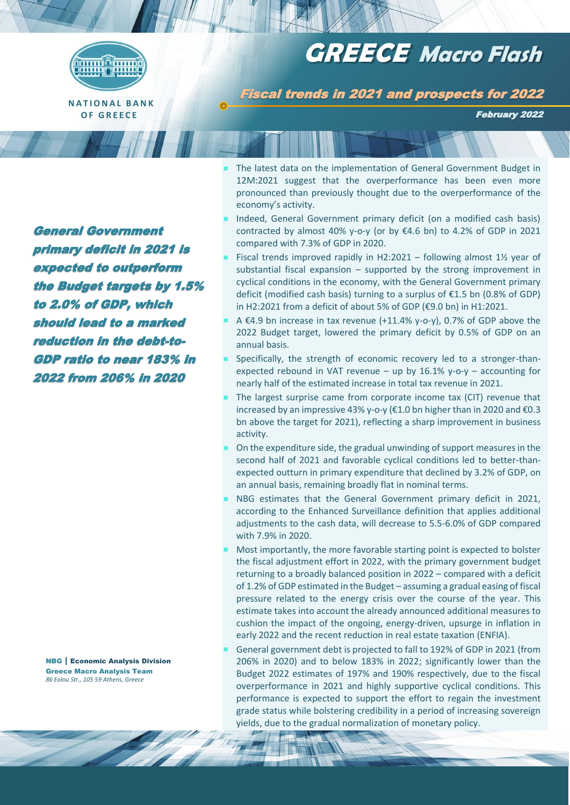

**O F G R E E C E**

# **GREECE Macro Flash**

Fiscal trends in 2021 and prospects for 2022

February 2022

General Government primary deficit in 2021 is expected to outperform the Budget targets by 1.5% to 2.0% of GDP, which should lead to a marked reduction in the debt-to-GDP ratio to near 183% in 2022 from 206% in 2020

 The latest data on the implementation of General Government Budget in 12M:2021 suggest that the overperformance has been even more pronounced than previously thought due to the overperformance of the economy's activity.

- Indeed, General Government primary deficit (on a modified cash basis) contracted by almost 40% y-o-y (or by  $\epsilon$ 4.6 bn) to 4.2% of GDP in 2021 compared with 7.3% of GDP in 2020.
- Fiscal trends improved rapidly in H2:2021 following almost  $1\frac{1}{2}$  year of substantial fiscal expansion  $-$  supported by the strong improvement in cyclical conditions in the economy, with the General Government primary deficit (modified cash basis) turning to a surplus of €1.5 bn (0.8% of GDP) in H2:2021 from a deficit of about 5% of GDP (€9.0 bn) in H1:2021.
- A €4.9 bn increase in tax revenue (+11.4% y-o-y), 0.7% of GDP above the 2022 Budget target, lowered the primary deficit by 0.5% of GDP on an annual basis.
- Specifically, the strength of economic recovery led to a stronger-thanexpected rebound in VAT revenue – up by  $16.1\%$  y-o-y – accounting for nearly half of the estimated increase in total tax revenue in 2021.
- The largest surprise came from corporate income tax (CIT) revenue that increased by an impressive 43% y-o-y (€1.0 bn higher than in 2020 and €0.3 bn above the target for 2021), reflecting a sharp improvement in business activity.
- On the expenditure side, the gradual unwinding of support measures in the second half of 2021 and favorable cyclical conditions led to better-thanexpected outturn in primary expenditure that declined by 3.2% of GDP, on an annual basis, remaining broadly flat in nominal terms.
- NBG estimates that the General Government primary deficit in 2021, according to the Enhanced Surveillance definition that applies additional adjustments to the cash data, will decrease to 5.5-6.0% of GDP compared with 7.9% in 2020.
- Most importantly, the more favorable starting point is expected to bolster the fiscal adjustment effort in 2022, with the primary government budget returning to a broadly balanced position in 2022 – compared with a deficit of 1.2% of GDP estimated in the Budget – assuming a gradual easing of fiscal pressure related to the energy crisis over the course of the year. This estimate takes into account the already announced additional measures to cushion the impact of the ongoing, energy-driven, upsurge in inflation in early 2022 and the recent reduction in real estate taxation (ENFIA).
- General government debt is projected to fall to 192% of GDP in 2021 (from 206% in 2020) and to below 183% in 2022; significantly lower than the Budget 2022 estimates of 197% and 190% respectively, due to the fiscal overperformance in 2021 and highly supportive cyclical conditions. This performance is expected to support the effort to regain the investment grade status while bolstering credibility in a period of increasing sovereign yields, due to the gradual normalization of monetary policy.

NBG | Economic Analysis Division Greece Macro Analysis Team *86 Eolou Str., 105 59 Athens, Greece*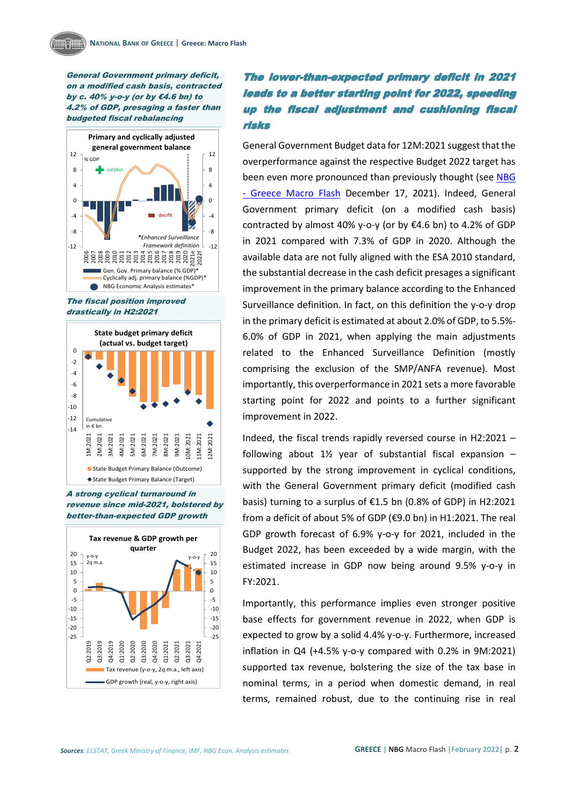General Government primary deficit, on a modified cash basis, contracted by c. 40% y-o-y (or by  $\epsilon$ 4.6 bn) to 4.2% of GDP, presaging a faster than budgeted fiscal rebalancing



The fiscal position improved drastically in H2:2021



A strong cyclical turnaround in revenue since mid-2021, bolstered by better-than-expected GDP growth



### The lower-than-expected primary deficit in 2021 leads to a better starting point for 2022, speeding up the fiscal adjustment and cushioning fiscal risks

General Government Budget data for 12M:2021 suggest that the overperformance against the respective Budget 2022 target has been even more pronounced than previously thought (see NBG - [Greece Macro Flash](https://www.nbg.gr/-/jssmedia/Files/nbgportal/reports/migrated-data/files/greek/the-group/press-office/e-spot/reports/documents/nbg_macroflash_budget2022_fnl.pdf?rev=-1) December 17, 2021). Indeed, General Government primary deficit (on a modified cash basis) contracted by almost 40% y-o-y (or by €4.6 bn) to 4.2% of GDP in 2021 compared with 7.3% of GDP in 2020. Although the available data are not fully aligned with the ESA 2010 standard, the substantial decrease in the cash deficit presages a significant improvement in the primary balance according to the Enhanced Surveillance definition. In fact, on this definition the y-o-y drop in the primary deficit is estimated at about 2.0% of GDP, to 5.5%- 6.0% of GDP in 2021, when applying the main adjustments related to the Enhanced Surveillance Definition (mostly comprising the exclusion of the SMP/ANFA revenue). Most importantly, this overperformance in 2021 sets a more favorable starting point for 2022 and points to a further significant improvement in 2022.

Indeed, the fiscal trends rapidly reversed course in H2:2021 – following about  $1\frac{1}{2}$  year of substantial fiscal expansion supported by the strong improvement in cyclical conditions, with the General Government primary deficit (modified cash basis) turning to a surplus of €1.5 bn (0.8% of GDP) in H2:2021 from a deficit of about 5% of GDP (€9.0 bn) in H1:2021. The real GDP growth forecast of 6.9% y-o-y for 2021, included in the Budget 2022, has been exceeded by a wide margin, with the estimated increase in GDP now being around 9.5% y-o-y in FY:2021.

Importantly, this performance implies even stronger positive base effects for government revenue in 2022, when GDP is expected to grow by a solid 4.4% y-o-y. Furthermore, increased inflation in Q4 (+4.5% y-o-y compared with 0.2% in 9M:2021) supported tax revenue, bolstering the size of the tax base in nominal terms, in a period when domestic demand, in real terms, remained robust, due to the continuing rise in real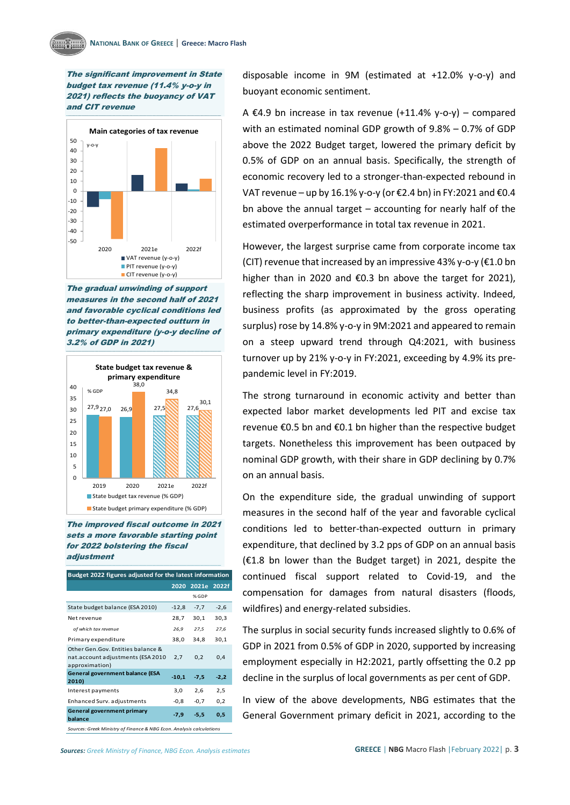The significant improvement in State budget tax revenue (11.4% y-o-y in 2021) reflects the buoyancy of VAT and CIT revenue



The gradual unwinding of support measures in the second half of 2021 and favorable cyclical conditions led to better-than-expected outturn in primary expenditure (y-o-y decline of 3.2% of GDP in 2021)



The improved fiscal outcome in 2021 sets <sup>a</sup> more favorable starting point for 2022 bolstering the fiscal adjustment

| Budget 2022 figures adjusted for the latest information                                   |         |        |        |
|-------------------------------------------------------------------------------------------|---------|--------|--------|
|                                                                                           | 2020    | 2021e  | 2022f  |
|                                                                                           |         | % GDP  |        |
| State budget balance (ESA 2010)                                                           | $-12,8$ | $-7,7$ | $-2,6$ |
| Net revenue                                                                               | 28,7    | 30,1   | 30,3   |
| of which tax revenue                                                                      | 26,9    | 27.5   | 27,6   |
| Primary expenditure                                                                       | 38,0    | 34,8   | 30,1   |
| Other Gen. Gov. Entities balance &<br>nat.account adjustments (ESA 2010<br>approximation) | 2,7     | 0,2    | 0,4    |
| <b>General government balance (ESA</b><br>2010)                                           | $-10,1$ | $-7,5$ | $-2,2$ |
| Interest payments                                                                         | 3,0     | 2,6    | 2,5    |
| <b>Enhanced Surv. adjustments</b>                                                         | $-0,8$  | $-0,7$ | 0,2    |
| <b>General government primary</b><br>balance                                              | $-7,9$  | $-5,5$ | 0,5    |
| Sources: Greek Ministry of Finance & NBG Econ. Analysis calculations                      |         |        |        |

disposable income in 9M (estimated at +12.0% y-o-y) and buoyant economic sentiment.

A €4.9 bn increase in tax revenue  $(+11.4\%$  v-o-v) – compared with an estimated nominal GDP growth of 9.8% – 0.7% of GDP above the 2022 Budget target, lowered the primary deficit by 0.5% of GDP on an annual basis. Specifically, the strength of economic recovery led to a stronger-than-expected rebound in VAT revenue – up by 16.1% y-o-y (or  $\epsilon$ 2.4 bn) in FY:2021 and  $\epsilon$ 0.4 bn above the annual target – accounting for nearly half of the estimated overperformance in total tax revenue in 2021.

However, the largest surprise came from corporate income tax (CIT) revenue that increased by an impressive 43% y-o-y ( $E1.0$  bn higher than in 2020 and €0.3 bn above the target for 2021), reflecting the sharp improvement in business activity. Indeed, business profits (as approximated by the gross operating surplus) rose by 14.8% y-o-y in 9M:2021 and appeared to remain on a steep upward trend through Q4:2021, with business turnover up by 21% y-o-y in FY:2021, exceeding by 4.9% its prepandemic level in FY:2019.

The strong turnaround in economic activity and better than expected labor market developments led PIT and excise tax revenue €0.5 bn and €0.1 bn higher than the respective budget targets. Nonetheless this improvement has been outpaced by nominal GDP growth, with their share in GDP declining by 0.7% on an annual basis.

On the expenditure side, the gradual unwinding of support measures in the second half of the year and favorable cyclical conditions led to better-than-expected outturn in primary expenditure, that declined by 3.2 pps of GDP on an annual basis (€1.8 bn lower than the Budget target) in 2021, despite the continued fiscal support related to Covid-19, and the compensation for damages from natural disasters (floods, wildfires) and energy-related subsidies.

The surplus in social security funds increased slightly to 0.6% of GDP in 2021 from 0.5% of GDP in 2020, supported by increasing employment especially in H2:2021, partly offsetting the 0.2 pp decline in the surplus of local governments as per cent of GDP.

In view of the above developments, NBG estimates that the General Government primary deficit in 2021, according to the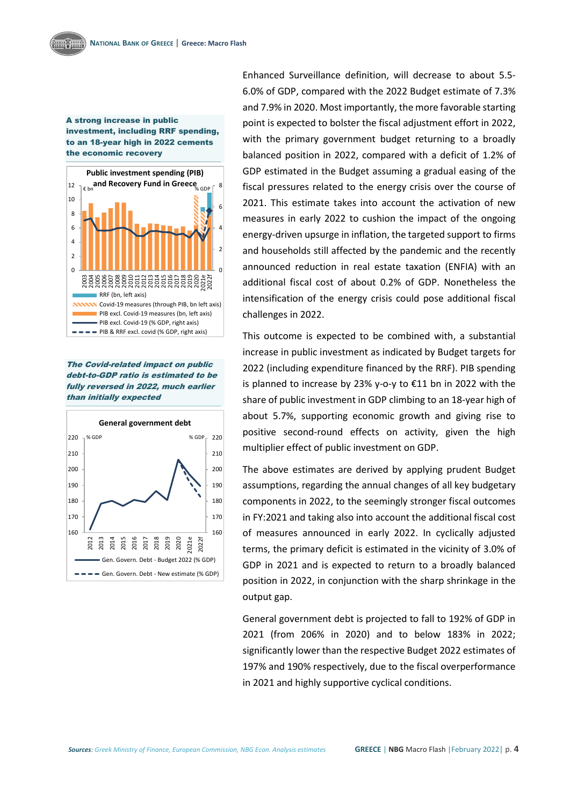### A strong increase in public investment, including RRF spending, to an 18-year high in 2022 cements the economic recovery



The Covid-related impact on public debt-to-GDP ratio is estimated to be fully reversed in 2022, much earlier than initially expected



Enhanced Surveillance definition, will decrease to about 5.5- 6.0% of GDP, compared with the 2022 Budget estimate of 7.3% and 7.9% in 2020. Most importantly, the more favorable starting point is expected to bolster the fiscal adjustment effort in 2022, with the primary government budget returning to a broadly balanced position in 2022, compared with a deficit of 1.2% of GDP estimated in the Budget assuming a gradual easing of the fiscal pressures related to the energy crisis over the course of 2021. This estimate takes into account the activation of new measures in early 2022 to cushion the impact of the ongoing energy-driven upsurge in inflation, the targeted support to firms and households still affected by the pandemic and the recently announced reduction in real estate taxation (ENFIA) with an additional fiscal cost of about 0.2% of GDP. Nonetheless the intensification of the energy crisis could pose additional fiscal challenges in 2022.

Τhis outcome is expected to be combined with, a substantial increase in public investment as indicated by Budget targets for 2022 (including expenditure financed by the RRF). PIB spending is planned to increase by 23% y-o-y to €11 bn in 2022 with the share of public investment in GDP climbing to an 18-year high of about 5.7%, supporting economic growth and giving rise to positive second-round effects on activity, given the high multiplier effect of public investment on GDP.

The above estimates are derived by applying prudent Budget assumptions, regarding the annual changes of all key budgetary components in 2022, to the seemingly stronger fiscal outcomes in FY:2021 and taking also into account the additional fiscal cost of measures announced in early 2022. In cyclically adjusted terms, the primary deficit is estimated in the vicinity of 3.0% of GDP in 2021 and is expected to return to a broadly balanced position in 2022, in conjunction with the sharp shrinkage in the output gap.

General government debt is projected to fall to 192% of GDP in 2021 (from 206% in 2020) and to below 183% in 2022; significantly lower than the respective Budget 2022 estimates of 197% and 190% respectively, due to the fiscal overperformance in 2021 and highly supportive cyclical conditions.